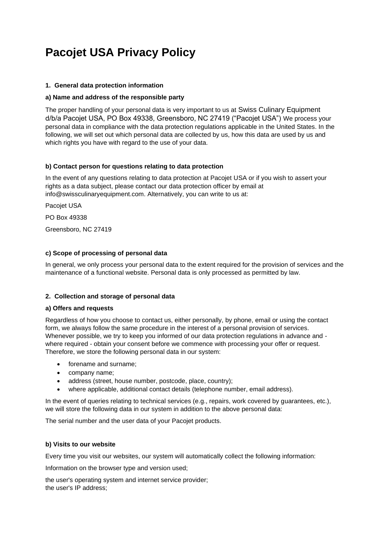# **Pacojet USA Privacy Policy**

#### **1. General data protection information**

#### **a) Name and address of the responsible party**

The proper handling of your personal data is very important to us at Swiss Culinary Equipment d/b/a Pacojet USA, PO Box 49338, Greensboro, NC 27419 ("Pacojet USA") We process your personal data in compliance with the data protection regulations applicable in the United States. In the following, we will set out which personal data are collected by us, how this data are used by us and which rights you have with regard to the use of your data.

#### **b) Contact person for questions relating to data protection**

In the event of any questions relating to data protection at Pacojet USA or if you wish to assert your rights as a data subject, please contact our data protection officer by email at info@swissculinaryequipment.com. Alternatively, you can write to us at:

Pacojet USA

PO Box 49338

Greensboro, NC 27419

#### **c) Scope of processing of personal data**

In general, we only process your personal data to the extent required for the provision of services and the maintenance of a functional website. Personal data is only processed as permitted by law.

#### **2. Collection and storage of personal data**

#### **a) Offers and requests**

Regardless of how you choose to contact us, either personally, by phone, email or using the contact form, we always follow the same procedure in the interest of a personal provision of services. Whenever possible, we try to keep you informed of our data protection regulations in advance and where required - obtain your consent before we commence with processing your offer or request. Therefore, we store the following personal data in our system:

- forename and surname;
- company name;
- address (street, house number, postcode, place, country);
- where applicable, additional contact details (telephone number, email address).

In the event of queries relating to technical services (e.g., repairs, work covered by quarantees, etc.), we will store the following data in our system in addition to the above personal data:

The serial number and the user data of your Pacojet products.

#### **b) Visits to our website**

Every time you visit our websites, our system will automatically collect the following information:

Information on the browser type and version used;

the user's operating system and internet service provider; the user's IP address;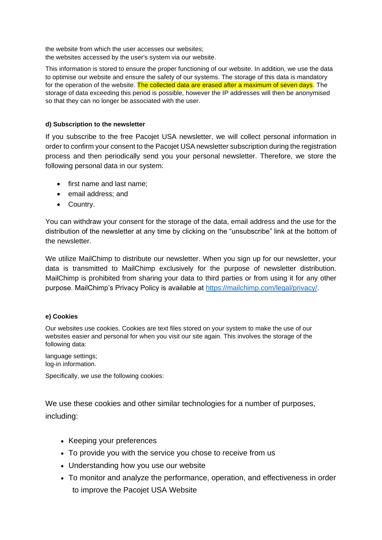the website from which the user accesses our websites; the websites accessed by the user's system via our website.

This information is stored to ensure the proper functioning of our website. In addition, we use the data to optimise our website and ensure the safety of our systems. The storage of this data is mandatory for the operation of the website. The collected data are erased after a maximum of seven days. The storage of data exceeding this period is possible, however the IP addresses will then be anonymised so that they can no longer be associated with the user.

## **d) Subscription to the newsletter**

If you subscribe to the free Pacojet USA newsletter, we will collect personal information in order to confirm your consent to the Pacojet USA newsletter subscription during the registration process and then periodically send you your personal newsletter. Therefore, we store the following personal data in our system:

- first name and last name;
- email address; and
- Country.

You can withdraw your consent for the storage of the data, email address and the use for the distribution of the newsletter at any time by clicking on the "unsubscribe" link at the bottom of the newsletter.

We utilize MailChimp to distribute our newsletter. When you sign up for our newsletter, your data is transmitted to MailChimp exclusively for the purpose of newsletter distribution. MailChimp is prohibited from sharing your data to third parties or from using it for any other purpose. MailChimp's Privacy Policy is available at [https://mailchimp.com/legal/privacy/.](https://mailchimp.com/legal/privacy/)

### **e) Cookies**

Our websites use cookies. Cookies are text files stored on your system to make the use of our websites easier and personal for when you visit our site again. This involves the storage of the following data:

language settings; log-in information.

Specifically, we use the following cookies:

We use these cookies and other similar technologies for a number of purposes, including:

- Keeping your preferences
- To provide you with the service you chose to receive from us
- Understanding how you use our website
- To monitor and analyze the performance, operation, and effectiveness in order to improve the Pacojet USA Website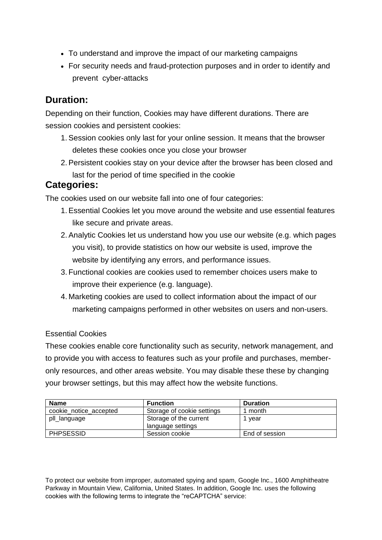- To understand and improve the impact of our marketing campaigns
- For security needs and fraud-protection purposes and in order to identify and prevent cyber-attacks

## **Duration:**

Depending on their function, Cookies may have different durations. There are session cookies and persistent cookies:

- 1.Session cookies only last for your online session. It means that the browser deletes these cookies once you close your browser
- 2.Persistent cookies stay on your device after the browser has been closed and last for the period of time specified in the cookie

## **Categories:**

The cookies used on our website fall into one of four categories:

- 1.Essential Cookies let you move around the website and use essential features like secure and private areas.
- 2.Analytic Cookies let us understand how you use our website (e.g. which pages you visit), to provide statistics on how our website is used, improve the website by identifying any errors, and performance issues.
- 3. Functional cookies are cookies used to remember choices users make to improve their experience (e.g. language).
- 4. Marketing cookies are used to collect information about the impact of our marketing campaigns performed in other websites on users and non-users.

## Essential Cookies

These cookies enable core functionality such as security, network management, and to provide you with access to features such as your profile and purchases, memberonly resources, and other areas website. You may disable these these by changing your browser settings, but this may affect how the website functions.

| <b>Name</b>            | <b>Function</b>            | <b>Duration</b> |
|------------------------|----------------------------|-----------------|
| cookie notice accepted | Storage of cookie settings | 1 month         |
| pll_language           | Storage of the current     | 1 vear          |
|                        | language settings          |                 |
| <b>PHPSESSID</b>       | Session cookie             | End of session  |

To protect our website from improper, automated spying and spam, Google Inc., 1600 Amphitheatre Parkway in Mountain View, California, United States. In addition, Google Inc. uses the following cookies with the following terms to integrate the "reCAPTCHA" service: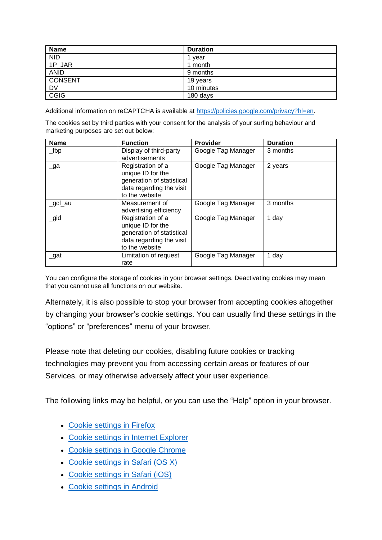| <b>Name</b> | <b>Duration</b> |
|-------------|-----------------|
| <b>NID</b>  | vear            |
| 1P_JAR      | 1 month         |
| <b>ANID</b> | 9 months        |
| CONSENT     | 19 years        |
| <b>DV</b>   | 10 minutes      |
| <b>CGIG</b> | 180 days        |

Additional information on reCAPTCHA is available at [https://policies.google.com/privacy?hl=en.](https://policies.google.com/privacy?hl=en)

The cookies set by third parties with your consent for the analysis of your surfing behaviour and marketing purposes are set out below:

| <b>Name</b> | <b>Function</b>           | <b>Provider</b>    | <b>Duration</b> |
|-------------|---------------------------|--------------------|-----------------|
| $\_$ fbp    | Display of third-party    | Google Tag Manager | 3 months        |
|             | advertisements            |                    |                 |
| $\Box$ ga   | Registration of a         | Google Tag Manager | 2 years         |
|             | unique ID for the         |                    |                 |
|             | generation of statistical |                    |                 |
|             | data regarding the visit  |                    |                 |
|             | to the website            |                    |                 |
| _gcl_au     | Measurement of            | Google Tag Manager | 3 months        |
|             | advertising efficiency    |                    |                 |
| igid        | Registration of a         | Google Tag Manager | 1 day           |
|             | unique ID for the         |                    |                 |
|             | generation of statistical |                    |                 |
|             | data regarding the visit  |                    |                 |
|             | to the website            |                    |                 |
| $\_$ gat    | Limitation of request     | Google Tag Manager | 1 day           |
|             | rate                      |                    |                 |

You can configure the storage of cookies in your browser settings. Deactivating cookies may mean that you cannot use all functions on our website.

Alternately, it is also possible to stop your browser from accepting cookies altogether by changing your browser's cookie settings. You can usually find these settings in the "options" or "preferences" menu of your browser.

Please note that deleting our cookies, disabling future cookies or tracking technologies may prevent you from accessing certain areas or features of our Services, or may otherwise adversely affect your user experience.

The following links may be helpful, or you can use the "Help" option in your browser.

- Cookie [settings](http://support.mozilla.com/en-US/kb/Enabling%20and%20disabling%20cookies) in Firefox
- Cookie settings in Internet [Explorer](https://support.microsoft.com/en-us/help/17442/windows-internet-explorer-delete-manage-cookies)
- Cookie settings in Google [Chrome](http://www.google.com/support/chrome/bin/answer.py?answer=95647)
- Cookie [settings](http://support.apple.com/kb/PH17191?viewlocale=en_US&locale=en_US) in Safari (OS X)
- Cookie [settings](https://support.apple.com/en-us/HT201265) in Safari (iOS)
- Cookie [settings](https://support.google.com/accounts/answer/32050?co=GENIE.Platform%3DAndroid&hl=en) in Android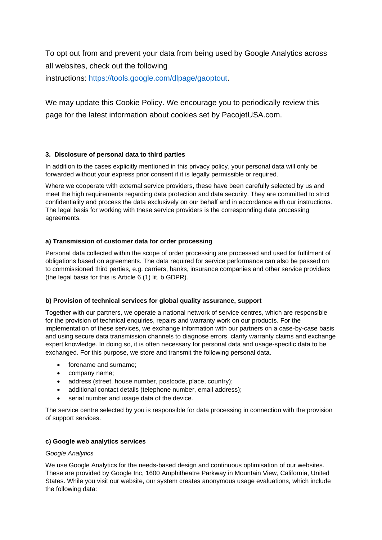To opt out from and prevent your data from being used by Google Analytics across all websites, check out the following instructions: [https://tools.google.com/dlpage/gaoptout.](https://tools.google.com/dlpage/gaoptout)

We may update this Cookie Policy. We encourage you to periodically review this page for the latest information about cookies set by PacojetUSA.com.

#### **3. Disclosure of personal data to third parties**

In addition to the cases explicitly mentioned in this privacy policy, your personal data will only be forwarded without your express prior consent if it is legally permissible or required.

Where we cooperate with external service providers, these have been carefully selected by us and meet the high requirements regarding data protection and data security. They are committed to strict confidentiality and process the data exclusively on our behalf and in accordance with our instructions. The legal basis for working with these service providers is the corresponding data processing agreements.

#### **a) Transmission of customer data for order processing**

Personal data collected within the scope of order processing are processed and used for fulfilment of obligations based on agreements. The data required for service performance can also be passed on to commissioned third parties, e.g. carriers, banks, insurance companies and other service providers (the legal basis for this is Article 6 (1) lit. b GDPR).

#### **b) Provision of technical services for global quality assurance, support**

Together with our partners, we operate a national network of service centres, which are responsible for the provision of technical enquiries, repairs and warranty work on our products. For the implementation of these services, we exchange information with our partners on a case-by-case basis and using secure data transmission channels to diagnose errors, clarify warranty claims and exchange expert knowledge. In doing so, it is often necessary for personal data and usage-specific data to be exchanged. For this purpose, we store and transmit the following personal data.

- forename and surname;
- company name;
- address (street, house number, postcode, place, country);
- additional contact details (telephone number, email address);
- serial number and usage data of the device.

The service centre selected by you is responsible for data processing in connection with the provision of support services.

#### **c) Google web analytics services**

#### *Google Analytics*

We use Google Analytics for the needs-based design and continuous optimisation of our websites. These are provided by Google Inc, 1600 Amphitheatre Parkway in Mountain View, California, United States. While you visit our website, our system creates anonymous usage evaluations, which include the following data: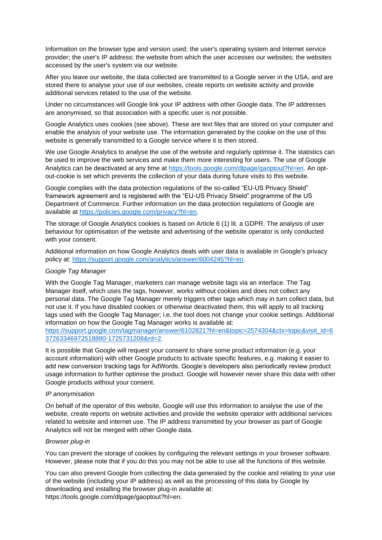Information on the browser type and version used; the user's operating system and Internet service provider; the user's IP address; the website from which the user accesses our websites; the websites accessed by the user's system via our website.

After you leave our website, the data collected are transmitted to a Google server in the USA, and are stored there to analyse your use of our websites, create reports on website activity and provide additional services related to the use of the website.

Under no circumstances will Google link your IP address with other Google data. The IP addresses are anonymised, so that association with a specific user is not possible.

Google Analytics uses cookies (see above). These are text files that are stored on your computer and enable the analysis of your website use. The information generated by the cookie on the use of this website is generally transmitted to a Google service where it is then stored.

We use Google Analytics to analyse the use of the website and regularly optimise it. The statistics can be used to improve the web services and make them more interesting for users. The use of Google Analytics can be deactivated at any time at [https://tools.google.com/dlpage/gaoptout?hl=en.](https://tools.google.com/dlpage/gaoptout?hl=en) An optout-cookie is set which prevents the collection of your data during future visits to this website.

Google complies with the data protection regulations of the so-called "EU-US Privacy Shield" framework agreement and is registered with the "EU-US Privacy Shield" programme of the US Department of Commerce. Further information on the data protection regulations of Google are available at [https://policies.google.com/privacy?hl=en.](https://policies.google.com/privacy?hl=en)

The storage of Google Analytics cookies is based on Article 6 (1) lit. a GDPR. The analysis of user behaviour for optimisation of the website and advertising of the website operator is only conducted with your consent.

Additional information on how Google Analytics deals with user data is available in Google's privacy policy at: [https://support.google.com/analytics/answer/6004245?hl=en.](https://support.google.com/analytics/answer/6004245?hl=en)

#### *Google Tag Manager*

With the Google Tag Manager, marketers can manage website tags via an interface. The Tag Manager itself, which uses the tags, however, works without cookies and does not collect any personal data. The Google Tag Manager merely triggers other tags which may in turn collect data, but not use it. If you have disabled cookies or otherwise deactivated them, this will apply to all tracking tags used with the Google Tag Manager; i.e. the tool does not change your cookie settings. Additional information on how the Google Tag Manager works is available at:

[https://support.google.com/tagmanager/answer/6102821?hl=en&topic=2574304&ctx=topic&visit\\_id=6](https://support.google.com/tagmanager/answer/6102821?hl=en&topic=2574304&ctx=topic&visit_id=637263346972518880-1725731208&rd=2) [37263346972518880-1725731208&rd=2.](https://support.google.com/tagmanager/answer/6102821?hl=en&topic=2574304&ctx=topic&visit_id=637263346972518880-1725731208&rd=2)

It is possible that Google will request your consent to share some product information (e.g. your account information) with other Google products to activate specific features, e.g. making it easier to add new conversion tracking tags for AdWords. Google's developers also periodically review product usage information to further optimise the product. Google will however never share this data with other Google products without your consent.

#### *IP anonymisation*

On behalf of the operator of this website, Google will use this information to analyse the use of the website, create reports on website activities and provide the website operator with additional services related to website and internet use. The IP address transmitted by your browser as part of Google Analytics will not be merged with other Google data.

#### *Browser plug-in*

You can prevent the storage of cookies by configuring the relevant settings in your browser software. However, please note that if you do this you may not be able to use all the functions of this website.

You can also prevent Google from collecting the data generated by the cookie and relating to your use of the website (including your IP address) as well as the processing of this data by Google by downloading and installing the browser plug-in available at: [https://tools.google.com/dlpage/gaoptout?hl=en.](https://tools.google.com/dlpage/gaoptout?hl=en)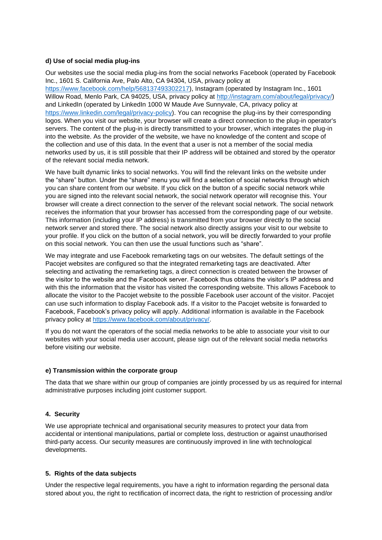#### **d) Use of social media plug-ins**

Our websites use the social media plug-ins from the social networks Facebook (operated by Facebook Inc., 1601 S. California Ave, Palo Alto, CA 94304, USA, privacy policy at [https://www.facebook.com/help/568137493302217\)](https://www.facebook.com/help/568137493302217), Instagram (operated by Instagram Inc., 1601 Willow Road, Menlo Park, CA 94025, USA, privacy policy at [http://instagram.com/about/legal/privacy/\)](http://instagram.com/about/legal/privacy/) and LinkedIn (operated by LinkedIn 1000 W Maude Ave Sunnyvale, CA, privacy policy at [https://www.linkedin.com/legal/privacy-policy\)](https://www.linkedin.com/legal/privacy-policy). You can recognise the plug-ins by their corresponding logos. When you visit our website, your browser will create a direct connection to the plug-in operator's servers. The content of the plug-in is directly transmitted to your browser, which integrates the plug-in into the website. As the provider of the website, we have no knowledge of the content and scope of the collection and use of this data. In the event that a user is not a member of the social media networks used by us, it is still possible that their IP address will be obtained and stored by the operator of the relevant social media network.

We have built dynamic links to social networks. You will find the relevant links on the website under the "share" button. Under the "share" menu you will find a selection of social networks through which you can share content from our website. If you click on the button of a specific social network while you are signed into the relevant social network, the social network operator will recognise this. Your browser will create a direct connection to the server of the relevant social network. The social network receives the information that your browser has accessed from the corresponding page of our website. This information (including your IP address) is transmitted from your browser directly to the social network server and stored there. The social network also directly assigns your visit to our website to your profile. If you click on the button of a social network, you will be directly forwarded to your profile on this social network. You can then use the usual functions such as "share".

We may integrate and use Facebook remarketing tags on our websites. The default settings of the Pacojet websites are configured so that the integrated remarketing tags are deactivated. After selecting and activating the remarketing tags, a direct connection is created between the browser of the visitor to the website and the Facebook server. Facebook thus obtains the visitor's IP address and with this the information that the visitor has visited the corresponding website. This allows Facebook to allocate the visitor to the Pacojet website to the possible Facebook user account of the visitor. Pacojet can use such information to display Facebook ads. If a visitor to the Pacojet website is forwarded to Facebook, Facebook's privacy policy will apply. Additional information is available in the Facebook privacy policy at [https://www.facebook.com/about/privacy/.](https://www.facebook.com/about/privacy/)

If you do not want the operators of the social media networks to be able to associate your visit to our websites with your social media user account, please sign out of the relevant social media networks before visiting our website.

#### **e) Transmission within the corporate group**

The data that we share within our group of companies are jointly processed by us as required for internal administrative purposes including joint customer support.

#### **4. Security**

We use appropriate technical and organisational security measures to protect your data from accidental or intentional manipulations, partial or complete loss, destruction or against unauthorised third-party access. Our security measures are continuously improved in line with technological developments.

#### **5. Rights of the data subjects**

Under the respective legal requirements, you have a right to information regarding the personal data stored about you, the right to rectification of incorrect data, the right to restriction of processing and/or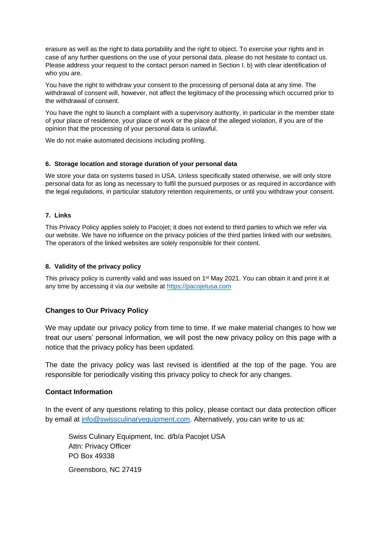erasure as well as the right to data portability and the right to object. To exercise your rights and in case of any further questions on the use of your personal data, please do not hesitate to contact us. Please address your request to the contact person named in Section I. b) with clear identification of who you are.

You have the right to withdraw your consent to the processing of personal data at any time. The withdrawal of consent will, however, not affect the legitimacy of the processing which occurred prior to the withdrawal of consent.

You have the right to launch a complaint with a supervisory authority, in particular in the member state of your place of residence, your place of work or the place of the alleged violation, if you are of the opinion that the processing of your personal data is unlawful.

We do not make automated decisions including profiling.

#### **6. Storage location and storage duration of your personal data**

We store your data on systems based in USA. Unless specifically stated otherwise, we will only store personal data for as long as necessary to fulfil the pursued purposes or as required in accordance with the legal regulations, in particular statutory retention requirements, or until you withdraw your consent.

#### **7. Links**

This Privacy Policy applies solely to Pacojet; it does not extend to third parties to which we refer via our website. We have no influence on the privacy policies of the third parties linked with our websites. The operators of the linked websites are solely responsible for their content.

#### **8. Validity of the privacy policy**

This privacy policy is currently valid and was issued on 1st May 2021. You can obtain it and print it at any time by accessing it via our website at https://pacojetusa.com

#### **Changes to Our Privacy Policy**

We may update our privacy policy from time to time. If we make material changes to how we treat our users' personal information, we will post the new privacy policy on this page with a notice that the privacy policy has been updated.

The date the privacy policy was last revised is identified at the top of the page. You are responsible for periodically visiting this privacy policy to check for any changes.

#### **Contact Information**

In the event of any questions relating to this policy, please contact our data protection officer by email at [info@swissculinaryequipment.com.](mailto:info@swissculinaryequipment.com) Alternatively, you can write to us at:

Swiss Culinary Equipment, Inc. d/b/a Pacojet USA Attn: Privacy Officer PO Box 49338 Greensboro, NC 27419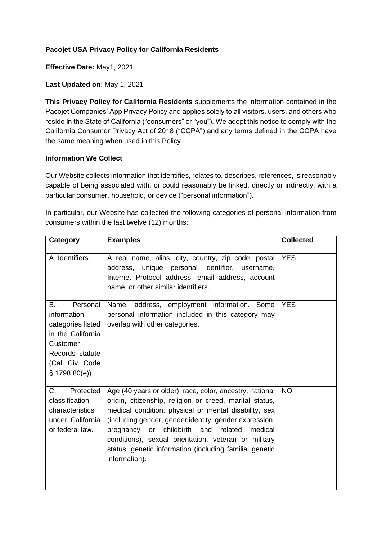## **Pacojet USA Privacy Policy for California Residents**

**Effective Date:** May1, 2021

## **Last Updated on**: May 1, 2021

**This Privacy Policy for California Residents** supplements the information contained in the Pacojet Companies' App Privacy Policy and applies solely to all visitors, users, and others who reside in the State of California ("consumers" or "you"). We adopt this notice to comply with the California Consumer Privacy Act of 2018 ("CCPA") and any terms defined in the CCPA have the same meaning when used in this Policy.

## **Information We Collect**

Our Website collects information that identifies, relates to, describes, references, is reasonably capable of being associated with, or could reasonably be linked, directly or indirectly, with a particular consumer, household, or device ("personal information").

In particular, our Website has collected the following categories of personal information from consumers within the last twelve (12) months:

| Category                                                                                                                                      | <b>Examples</b>                                                                                                                                                                                                                                                                                                                                                                                                                          | <b>Collected</b> |
|-----------------------------------------------------------------------------------------------------------------------------------------------|------------------------------------------------------------------------------------------------------------------------------------------------------------------------------------------------------------------------------------------------------------------------------------------------------------------------------------------------------------------------------------------------------------------------------------------|------------------|
| A. Identifiers.                                                                                                                               | A real name, alias, city, country, zip code, postal<br>address, unique personal identifier, username,<br>Internet Protocol address, email address, account<br>name, or other similar identifiers.                                                                                                                                                                                                                                        | <b>YES</b>       |
| Personal<br>Β.<br>information<br>categories listed<br>in the California<br>Customer<br>Records statute<br>(Cal. Civ. Code<br>$$1798.80(e)$ ). | Name, address, employment information. Some<br>personal information included in this category may<br>overlap with other categories.                                                                                                                                                                                                                                                                                                      | <b>YES</b>       |
| C.<br>Protected<br>classification<br>characteristics<br>under California<br>or federal law.                                                   | Age (40 years or older), race, color, ancestry, national<br>origin, citizenship, religion or creed, marital status,<br>medical condition, physical or mental disability, sex<br>(including gender, gender identity, gender expression,<br>childbirth<br>and<br>related<br>medical<br>pregnancy<br>or<br>conditions), sexual orientation, veteran or military<br>status, genetic information (including familial genetic<br>information). | <b>NO</b>        |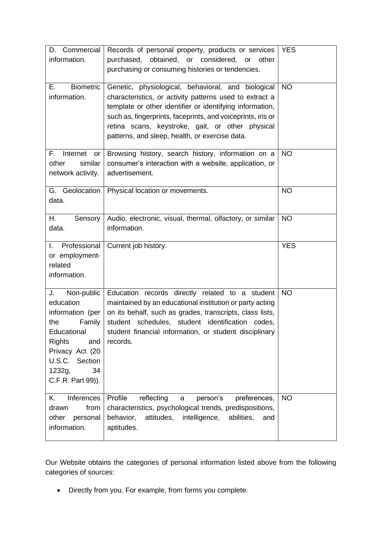| Commercial<br>D.<br>information.                                                                                                                                                    | Records of personal property, products or services<br>purchased, obtained, or considered, or other<br>purchasing or consuming histories or tendencies.                                                                                                                                                                                         | <b>YES</b> |
|-------------------------------------------------------------------------------------------------------------------------------------------------------------------------------------|------------------------------------------------------------------------------------------------------------------------------------------------------------------------------------------------------------------------------------------------------------------------------------------------------------------------------------------------|------------|
| Е.<br><b>Biometric</b><br>information.                                                                                                                                              | Genetic, physiological, behavioral, and biological<br>characteristics, or activity patterns used to extract a<br>template or other identifier or identifying information,<br>such as, fingerprints, faceprints, and voiceprints, iris or<br>retina scans, keystroke, gait, or other physical<br>patterns, and sleep, health, or exercise data. | <b>NO</b>  |
| F.<br>Internet<br>or<br>similar<br>other<br>network activity.                                                                                                                       | Browsing history, search history, information on a<br>consumer's interaction with a website, application, or<br>advertisement.                                                                                                                                                                                                                 | <b>NO</b>  |
| G. Geolocation<br>data.                                                                                                                                                             | Physical location or movements.                                                                                                                                                                                                                                                                                                                | <b>NO</b>  |
| Η.<br>Sensory<br>data.                                                                                                                                                              | Audio, electronic, visual, thermal, olfactory, or similar<br>information.                                                                                                                                                                                                                                                                      | <b>NO</b>  |
| Professional<br>L.<br>or employment-<br>related<br>information.                                                                                                                     | Current job history.                                                                                                                                                                                                                                                                                                                           | <b>YES</b> |
| J.<br>Non-public<br>education<br>information (per<br>Family<br>the<br>Educational<br><b>Rights</b><br>and<br>Privacy Act (20<br>U.S.C. Section<br>1232g,<br>34<br>C.F.R. Part 99)). | Education records directly related to a student<br>maintained by an educational institution or party acting<br>on its behalf, such as grades, transcripts, class lists,<br>student schedules, student identification codes,<br>student financial information, or student disciplinary<br>records.                                              | <b>NO</b>  |
| Inferences<br>Κ.<br>from<br>drawn<br>other<br>personal<br>information.                                                                                                              | Profile<br>reflecting<br>person's<br>preferences,<br>a<br>characteristics, psychological trends, predispositions,<br>attitudes,<br>intelligence,<br>behavior,<br>abilities,<br>and<br>aptitudes.                                                                                                                                               | <b>NO</b>  |

Our Website obtains the categories of personal information listed above from the following categories of sources:

• Directly from you. For example, from forms you complete.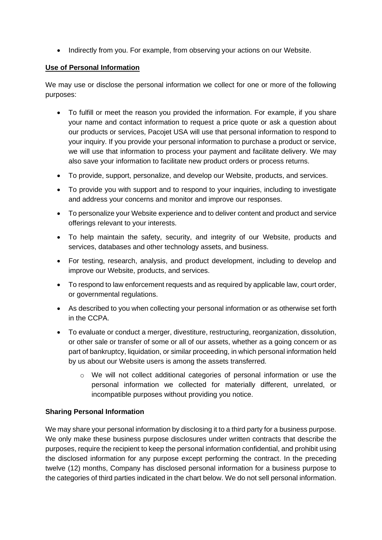• Indirectly from you. For example, from observing your actions on our Website.

## **Use of Personal Information**

We may use or disclose the personal information we collect for one or more of the following purposes:

- To fulfill or meet the reason you provided the information. For example, if you share your name and contact information to request a price quote or ask a question about our products or services, Pacojet USA will use that personal information to respond to your inquiry. If you provide your personal information to purchase a product or service, we will use that information to process your payment and facilitate delivery. We may also save your information to facilitate new product orders or process returns.
- To provide, support, personalize, and develop our Website, products, and services.
- To provide you with support and to respond to your inquiries, including to investigate and address your concerns and monitor and improve our responses.
- To personalize your Website experience and to deliver content and product and service offerings relevant to your interests.
- To help maintain the safety, security, and integrity of our Website, products and services, databases and other technology assets, and business.
- For testing, research, analysis, and product development, including to develop and improve our Website, products, and services.
- To respond to law enforcement requests and as required by applicable law, court order, or governmental regulations.
- As described to you when collecting your personal information or as otherwise set forth in the CCPA.
- To evaluate or conduct a merger, divestiture, restructuring, reorganization, dissolution, or other sale or transfer of some or all of our assets, whether as a going concern or as part of bankruptcy, liquidation, or similar proceeding, in which personal information held by us about our Website users is among the assets transferred.
	- o We will not collect additional categories of personal information or use the personal information we collected for materially different, unrelated, or incompatible purposes without providing you notice.

## **Sharing Personal Information**

We may share your personal information by disclosing it to a third party for a business purpose. We only make these business purpose disclosures under written contracts that describe the purposes, require the recipient to keep the personal information confidential, and prohibit using the disclosed information for any purpose except performing the contract. In the preceding twelve (12) months, Company has disclosed personal information for a business purpose to the categories of third parties indicated in the chart below. We do not sell personal information.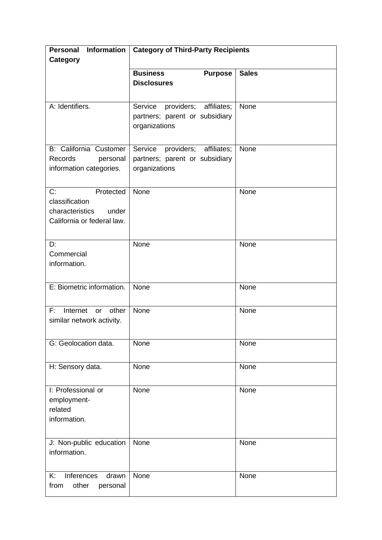| <b>Information</b><br><b>Personal</b><br>Category                                           | <b>Category of Third-Party Recipients</b>                                               |              |
|---------------------------------------------------------------------------------------------|-----------------------------------------------------------------------------------------|--------------|
|                                                                                             | <b>Business</b><br><b>Purpose</b><br><b>Disclosures</b>                                 | <b>Sales</b> |
| A: Identifiers.                                                                             | Service<br>providers;<br>affiliates;<br>partners; parent or subsidiary<br>organizations | None         |
| <b>B: California Customer</b><br>Records<br>personal<br>information categories.             | Service<br>providers;<br>affiliates;<br>partners; parent or subsidiary<br>organizations | None         |
| C:<br>Protected<br>classification<br>characteristics<br>under<br>California or federal law. | None                                                                                    | None         |
| D:<br>Commercial<br>information.                                                            | None                                                                                    | None         |
| E: Biometric information.                                                                   | None                                                                                    | None         |
| F:<br>Internet<br>other<br>or<br>similar network activity.                                  | None                                                                                    | None         |
| G: Geolocation data.                                                                        | None                                                                                    | None         |
| H: Sensory data.                                                                            | None                                                                                    | None         |
| I: Professional or<br>employment-<br>related<br>information.                                | None                                                                                    | None         |
| J: Non-public education<br>information.                                                     | None                                                                                    | None         |
| Inferences<br>K:<br>drawn<br>other<br>from<br>personal                                      | None                                                                                    | None         |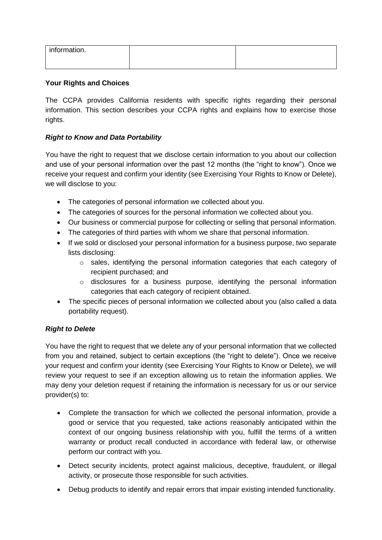| information. |  |
|--------------|--|
|              |  |

## **Your Rights and Choices**

The CCPA provides California residents with specific rights regarding their personal information. This section describes your CCPA rights and explains how to exercise those rights.

## *Right to Know and Data Portability*

You have the right to request that we disclose certain information to you about our collection and use of your personal information over the past 12 months (the "right to know"). Once we receive your request and confirm your identity (see Exercising Your Rights to Know or Delete), we will disclose to you:

- The categories of personal information we collected about you.
- The categories of sources for the personal information we collected about you.
- Our business or commercial purpose for collecting or selling that personal information.
- The categories of third parties with whom we share that personal information.
- If we sold or disclosed your personal information for a business purpose, two separate lists disclosing:
	- $\circ$  sales, identifying the personal information categories that each category of recipient purchased; and
	- o disclosures for a business purpose, identifying the personal information categories that each category of recipient obtained.
- The specific pieces of personal information we collected about you (also called a data portability request).

## *Right to Delete*

You have the right to request that we delete any of your personal information that we collected from you and retained, subject to certain exceptions (the "right to delete"). Once we receive your request and confirm your identity (see Exercising Your Rights to Know or Delete), we will review your request to see if an exception allowing us to retain the information applies. We may deny your deletion request if retaining the information is necessary for us or our service provider(s) to:

- Complete the transaction for which we collected the personal information, provide a good or service that you requested, take actions reasonably anticipated within the context of our ongoing business relationship with you, fulfill the terms of a written warranty or product recall conducted in accordance with federal law, or otherwise perform our contract with you.
- Detect security incidents, protect against malicious, deceptive, fraudulent, or illegal activity, or prosecute those responsible for such activities.
- Debug products to identify and repair errors that impair existing intended functionality.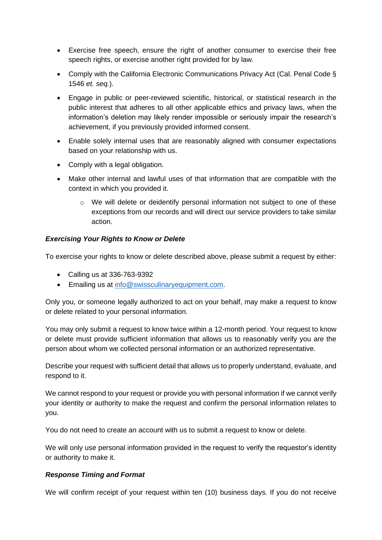- Exercise free speech, ensure the right of another consumer to exercise their free speech rights, or exercise another right provided for by law.
- Comply with the California Electronic Communications Privacy Act (Cal. Penal Code § 1546 *et. seq.*).
- Engage in public or peer-reviewed scientific, historical, or statistical research in the public interest that adheres to all other applicable ethics and privacy laws, when the information's deletion may likely render impossible or seriously impair the research's achievement, if you previously provided informed consent.
- Enable solely internal uses that are reasonably aligned with consumer expectations based on your relationship with us.
- Comply with a legal obligation.
- Make other internal and lawful uses of that information that are compatible with the context in which you provided it.
	- $\circ$  We will delete or deidentify personal information not subject to one of these exceptions from our records and will direct our service providers to take similar action.

## *Exercising Your Rights to Know or Delete*

To exercise your rights to know or delete described above, please submit a request by either:

- Calling us at 336-763-9392
- Emailing us at [info@swissculinaryequipment.com.](mailto:info@swissculinaryequipment.com)

Only you, or someone legally authorized to act on your behalf, may make a request to know or delete related to your personal information.

You may only submit a request to know twice within a 12-month period. Your request to know or delete must provide sufficient information that allows us to reasonably verify you are the person about whom we collected personal information or an authorized representative.

Describe your request with sufficient detail that allows us to properly understand, evaluate, and respond to it.

We cannot respond to your request or provide you with personal information if we cannot verify your identity or authority to make the request and confirm the personal information relates to you.

You do not need to create an account with us to submit a request to know or delete.

We will only use personal information provided in the request to verify the requestor's identity or authority to make it.

## *Response Timing and Format*

We will confirm receipt of your request within ten (10) business days. If you do not receive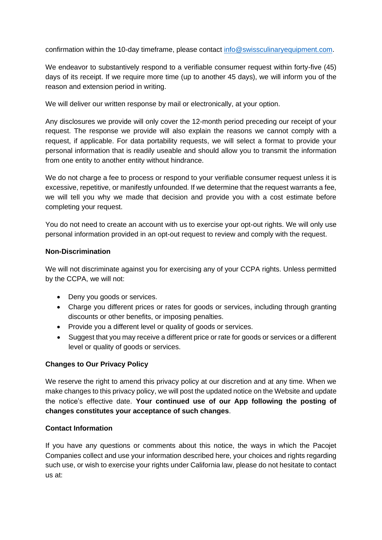confirmation within the 10-day timeframe, please contact [info@swissculinaryequipment.com.](mailto:info@swissculinaryequipment.com)

We endeavor to substantively respond to a verifiable consumer request within forty-five (45) days of its receipt. If we require more time (up to another 45 days), we will inform you of the reason and extension period in writing.

We will deliver our written response by mail or electronically, at your option.

Any disclosures we provide will only cover the 12-month period preceding our receipt of your request. The response we provide will also explain the reasons we cannot comply with a request, if applicable. For data portability requests, we will select a format to provide your personal information that is readily useable and should allow you to transmit the information from one entity to another entity without hindrance.

We do not charge a fee to process or respond to your verifiable consumer request unless it is excessive, repetitive, or manifestly unfounded. If we determine that the request warrants a fee, we will tell you why we made that decision and provide you with a cost estimate before completing your request.

You do not need to create an account with us to exercise your opt-out rights. We will only use personal information provided in an opt-out request to review and comply with the request.

## **Non-Discrimination**

We will not discriminate against you for exercising any of your CCPA rights. Unless permitted by the CCPA, we will not:

- Deny you goods or services.
- Charge you different prices or rates for goods or services, including through granting discounts or other benefits, or imposing penalties.
- Provide you a different level or quality of goods or services.
- Suggest that you may receive a different price or rate for goods or services or a different level or quality of goods or services.

## **Changes to Our Privacy Policy**

We reserve the right to amend this privacy policy at our discretion and at any time. When we make changes to this privacy policy, we will post the updated notice on the Website and update the notice's effective date. **Your continued use of our App following the posting of changes constitutes your acceptance of such changes**.

### **Contact Information**

If you have any questions or comments about this notice, the ways in which the Pacojet Companies collect and use your information described here, your choices and rights regarding such use, or wish to exercise your rights under California law, please do not hesitate to contact us at: